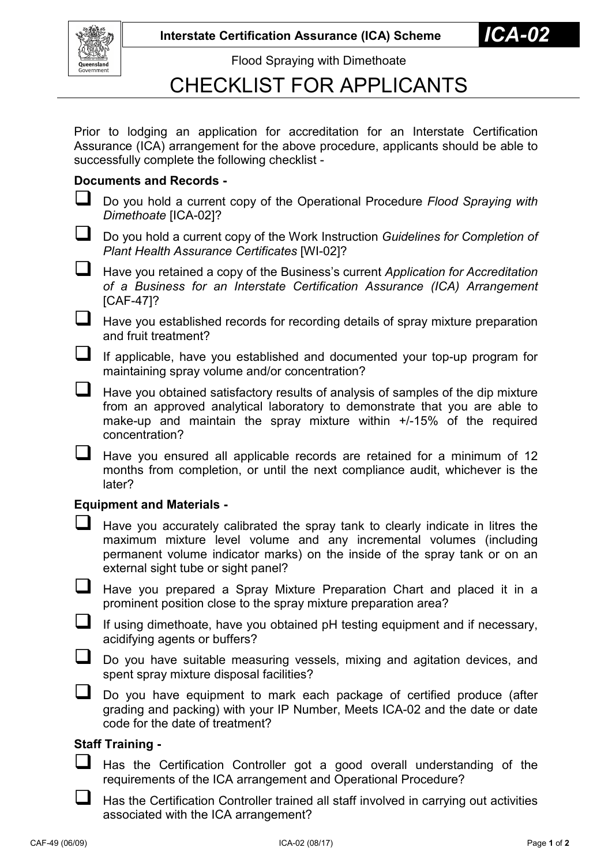**Interstate Certification Assurance (ICA) Scheme** 



Flood Spraying with Dimethoate

# CHECKLIST FOR APPLICANTS

Prior to lodging an application for accreditation for an Interstate Certification Assurance (ICA) arrangement for the above procedure, applicants should be able to successfully complete the following checklist -

### **Documents and Records -**

- Do you hold a current copy of the Operational Procedure *Flood Spraying with Dimethoate* [ICA-02]?
- Do you hold a current copy of the Work Instruction *Guidelines for Completion of Plant Health Assurance Certificates* [WI-02]?
- Have you retained a copy of the Business's current *Application for Accreditation of a Business for an Interstate Certification Assurance (ICA) Arrangement* [CAF-47]?

 $\Box$  Have you established records for recording details of spray mixture preparation and fruit treatment?

- If applicable, have you established and documented your top-up program for maintaining spray volume and/or concentration?
- $\Box$  Have you obtained satisfactory results of analysis of samples of the dip mixture from an approved analytical laboratory to demonstrate that you are able to make-up and maintain the spray mixture within +/-15% of the required concentration?
	- Have you ensured all applicable records are retained for a minimum of 12 months from completion, or until the next compliance audit, whichever is the later?

#### **Equipment and Materials -**

- Have you accurately calibrated the spray tank to clearly indicate in litres the maximum mixture level volume and any incremental volumes (including permanent volume indicator marks) on the inside of the spray tank or on an external sight tube or sight panel?
- Have you prepared a Spray Mixture Preparation Chart and placed it in a prominent position close to the spray mixture preparation area?
- $\Box$  If using dimethoate, have you obtained pH testing equipment and if necessary, acidifying agents or buffers?
- Do you have suitable measuring vessels, mixing and agitation devices, and spent spray mixture disposal facilities?
- Do you have equipment to mark each package of certified produce (after grading and packing) with your IP Number, Meets ICA-02 and the date or date code for the date of treatment?

## **Staff Training -**

- Has the Certification Controller got a good overall understanding of the requirements of the ICA arrangement and Operational Procedure?
- Has the Certification Controller trained all staff involved in carrying out activities associated with the ICA arrangement?